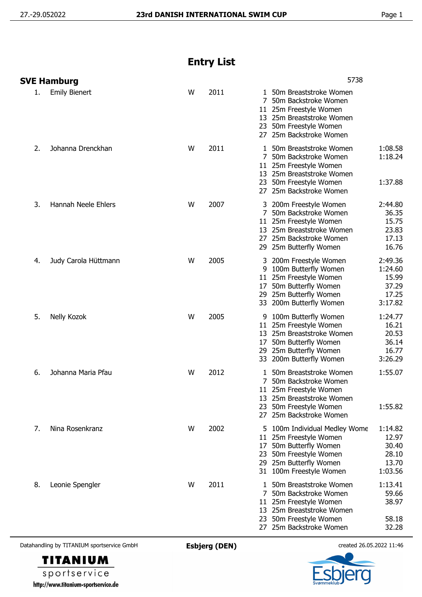## **Entry List**

|    | SVE Hamburg          |   |      | 5738                                                                                                                                                                                                                           |
|----|----------------------|---|------|--------------------------------------------------------------------------------------------------------------------------------------------------------------------------------------------------------------------------------|
| 1. | <b>Emily Bienert</b> | W | 2011 | 1 50m Breaststroke Women<br>50m Backstroke Women<br>7<br>11 25m Freestyle Women<br>13 25m Breaststroke Women<br>23 50m Freestyle Women<br>27 25m Backstroke Women                                                              |
| 2. | Johanna Drenckhan    | W | 2011 | 1:08.58<br>50m Breaststroke Women<br>1.<br>1:18.24<br>7 50m Backstroke Women<br>11 25m Freestyle Women<br>13 25m Breaststroke Women<br>1:37.88<br>23 50m Freestyle Women<br>27 25m Backstroke Women                            |
| 3. | Hannah Neele Ehlers  | W | 2007 | 3 200m Freestyle Women<br>2:44.80<br>36.35<br>7 50m Backstroke Women<br>11 25m Freestyle Women<br>15.75<br>13 25m Breaststroke Women<br>23.83<br>27 25m Backstroke Women<br>17.13<br>16.76<br>29 25m Butterfly Women           |
| 4. | Judy Carola Hüttmann | W | 2005 | 2:49.36<br>200m Freestyle Women<br>3<br>100m Butterfly Women<br>1:24.60<br>9<br>11 25m Freestyle Women<br>15.99<br>50m Butterfly Women<br>37.29<br>17<br>17.25<br>29 25m Butterfly Women<br>33 200m Butterfly Women<br>3:17.82 |
| 5. | Nelly Kozok          | W | 2005 | 1:24.77<br>100m Butterfly Women<br>9<br>11 25m Freestyle Women<br>16.21<br>20.53<br>13 25m Breaststroke Women<br>36.14<br>50m Butterfly Women<br>17<br>29 25m Butterfly Women<br>16.77<br>3:26.29<br>33 200m Butterfly Women   |
| 6. | Johanna Maria Pfau   | W | 2012 | 1:55.07<br>1 50m Breaststroke Women<br>50m Backstroke Women<br>11 25m Freestyle Women<br>13 25m Breaststroke Women<br>1:55.82<br>50m Freestyle Women<br>23<br>27 25m Backstroke Women                                          |
| 7. | Nina Rosenkranz      | W | 2002 | 100m Individual Medley Wome<br>1:14.82<br>12.97<br>11 25m Freestyle Women<br>30.40<br>50m Butterfly Women<br>17<br>28.10<br>23 50m Freestyle Women<br>13.70<br>29 25m Butterfly Women<br>31 100m Freestyle Women<br>1:03.56    |
| 8. | Leonie Spengler      | W | 2011 | 1:13.41<br>50m Breaststroke Women<br>L<br>59.66<br>7<br>50m Backstroke Women<br>38.97<br>11 25m Freestyle Women<br>13 25m Breaststroke Women<br>50m Freestyle Women<br>58.18<br>23<br>27 25m Backstroke Women<br>32.28         |

Datahandling by TITANIUM sportservice GmbH **Esbjerg (DEN)** created 26.05.2022 11:46



sportservice http://www.titanium-sportservice.de

**TITANIUM**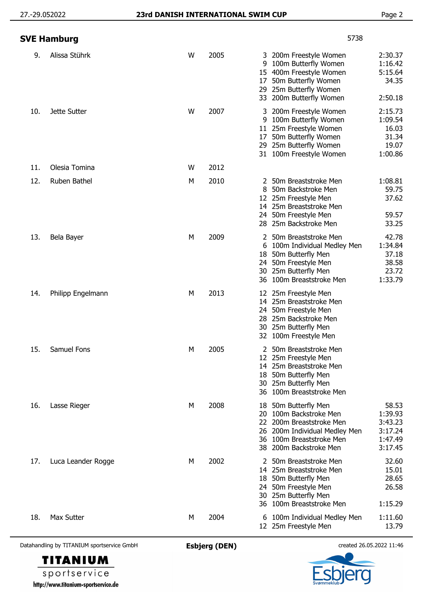|     | SVE Hamburg        |   | 5738 |                                |                                                                                                                                                             |                                                              |
|-----|--------------------|---|------|--------------------------------|-------------------------------------------------------------------------------------------------------------------------------------------------------------|--------------------------------------------------------------|
| 9.  | Alissa Stührk      | W | 2005 | 3<br>9<br>15<br>17<br>29<br>33 | 200m Freestyle Women<br>100m Butterfly Women<br>400m Freestyle Women<br>50m Butterfly Women<br>25m Butterfly Women<br>200m Butterfly Women                  | 2:30.37<br>1:16.42<br>5:15.64<br>34.35<br>2:50.18            |
| 10. | Jette Sutter       | W | 2007 | 3<br>9<br>17                   | 200m Freestyle Women<br>100m Butterfly Women<br>11 25m Freestyle Women<br>50m Butterfly Women<br>29 25m Butterfly Women<br>31 100m Freestyle Women          | 2:15.73<br>1:09.54<br>16.03<br>31.34<br>19.07<br>1:00.86     |
| 11. | Olesia Tomina      | W | 2012 |                                |                                                                                                                                                             |                                                              |
| 12. | Ruben Bathel       | М | 2010 | 2<br>8                         | 50m Breaststroke Men<br>50m Backstroke Men<br>12 25m Freestyle Men<br>14 25m Breaststroke Men<br>24 50m Freestyle Men<br>28 25m Backstroke Men              | 1:08.81<br>59.75<br>37.62<br>59.57<br>33.25                  |
| 13. | Bela Bayer         | М | 2009 | 18<br>24.<br>30<br>36          | 2 50m Breaststroke Men<br>6 100m Individual Medley Men<br>50m Butterfly Men<br>50m Freestyle Men<br>25m Butterfly Men<br>100m Breaststroke Men              | 42.78<br>1:34.84<br>37.18<br>38.58<br>23.72<br>1:33.79       |
| 14. | Philipp Engelmann  | М | 2013 | 30                             | 12 25m Freestyle Men<br>14 25m Breaststroke Men<br>24 50m Freestyle Men<br>28 25m Backstroke Men<br>25m Butterfly Men<br>32 100m Freestyle Men              |                                                              |
| 15. | Samuel Fons        | М | 2005 |                                | 2 50m Breaststroke Men<br>12 25m Freestyle Men<br>14 25m Breaststroke Men<br>18 50m Butterfly Men<br>30 25m Butterfly Men<br>36 100m Breaststroke Men       |                                                              |
| 16. | Lasse Rieger       | М | 2008 | 18<br>20                       | 50m Butterfly Men<br>100m Backstroke Men<br>22 200m Breaststroke Men<br>26 200m Individual Medley Men<br>36 100m Breaststroke Men<br>38 200m Backstroke Men | 58.53<br>1:39.93<br>3:43.23<br>3:17.24<br>1:47.49<br>3:17.45 |
| 17. | Luca Leander Rogge | М | 2002 | 2<br>18<br>24<br>30<br>36      | 50m Breaststroke Men<br>14 25m Breaststroke Men<br>50m Butterfly Men<br>50m Freestyle Men<br>25m Butterfly Men<br>100m Breaststroke Men                     | 32.60<br>15.01<br>28.65<br>26.58<br>1:15.29                  |
| 18. | Max Sutter         | M | 2004 |                                | 6 100m Individual Medley Men<br>12 25m Freestyle Men                                                                                                        | 1:11.60<br>13.79                                             |

Datahandling by TITANIUM sportservice GmbH **Esbjerg (DEN)** created 26.05.2022 11:46